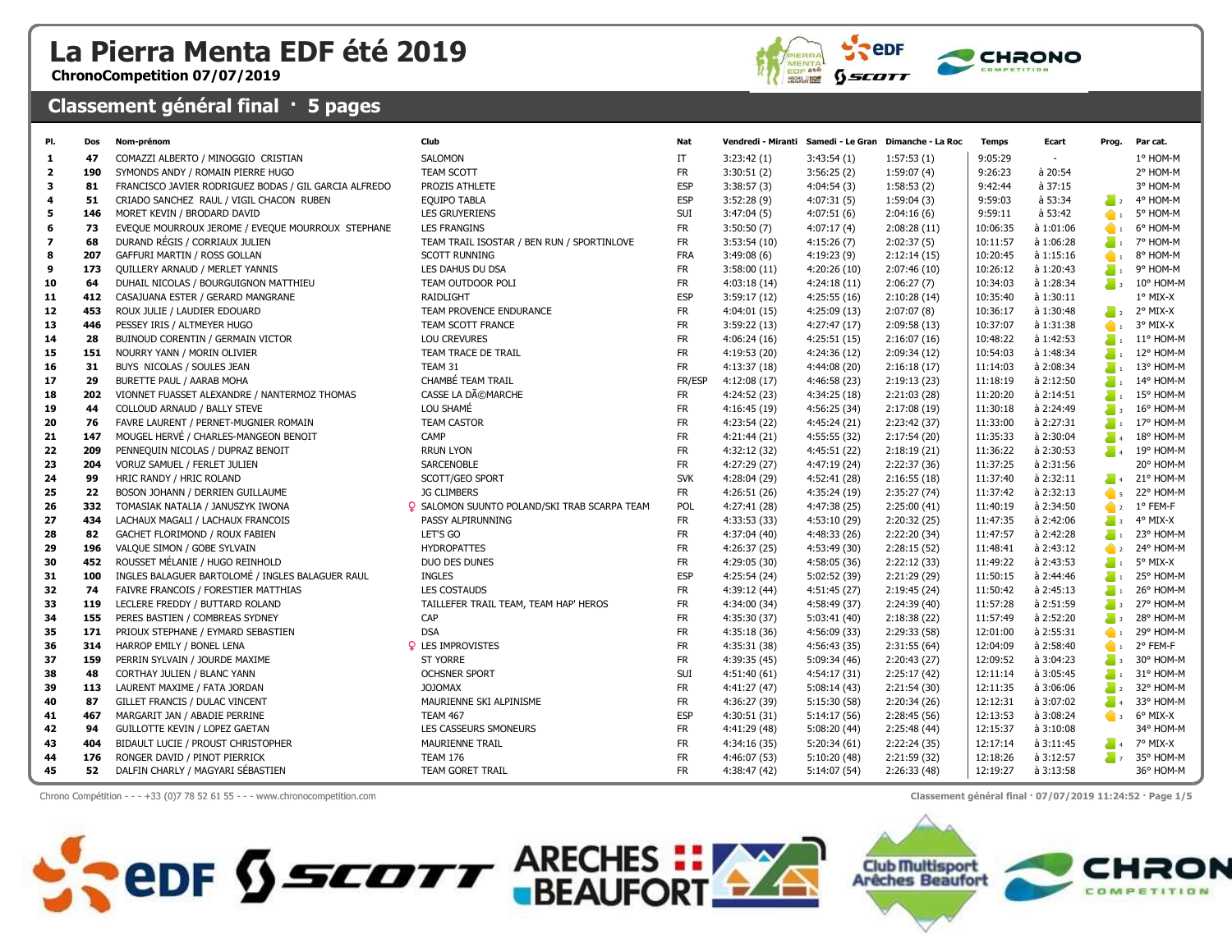## La Pierra Menta EDF été 2019

ChronoCompetition 07/07/2019

## Classement général final · 5 pages





| PI.            | Dos | Nom-prénom                                            | Club                                                | Nat        |              |              | Vendredi - Miranti Samedi - Le Gran Dimanche - La Roc | <b>Temps</b> | Ecart     | Prog.                      | Par cat.        |
|----------------|-----|-------------------------------------------------------|-----------------------------------------------------|------------|--------------|--------------|-------------------------------------------------------|--------------|-----------|----------------------------|-----------------|
| -1.            | 47  | COMAZZI ALBERTO / MINOGGIO CRISTIAN                   | <b>SALOMON</b>                                      | IT         | 3:23:42(1)   | 3:43:54(1)   | 1:57:53(1)                                            | 9:05:29      | $\sim$    |                            | 1° HOM-M        |
| $\overline{2}$ | 190 | SYMONDS ANDY / ROMAIN PIERRE HUGO                     | <b>TEAM SCOTT</b>                                   | <b>FR</b>  | 3:30:51(2)   | 3:56:25(2)   | 1:59:07(4)                                            | 9:26:23      | à 20:54   |                            | 2° HOM-M        |
| 3              | 81  | FRANCISCO JAVIER RODRIGUEZ BODAS / GIL GARCIA ALFREDO | PROZIS ATHLETE                                      | <b>ESP</b> | 3:38:57(3)   | 4:04:54(3)   | 1:58:53(2)                                            | 9:42:44      | à 37:15   |                            | 3° HOM-M        |
| 4              | 51  | CRIADO SANCHEZ RAUL / VIGIL CHACON RUBEN              | <b>EQUIPO TABLA</b>                                 | <b>ESP</b> | 3:52:28(9)   | 4:07:31(5)   | 1:59:04(3)                                            | 9:59:03      | à 53:34   | $\sum_{i=1}^{n}$           | 4° HOM-M        |
| 5              | 146 | MORET KEVIN / BRODARD DAVID                           | <b>LES GRUYERIENS</b>                               | <b>SUI</b> | 3:47:04(5)   | 4:07:51(6)   | 2:04:16(6)                                            | 9:59:11      | à 53:42   | $\bullet$                  | 5° HOM-M        |
| 6              | 73  | EVEQUE MOURROUX JEROME / EVEQUE MOURROUX STEPHANE     | <b>LES FRANGINS</b>                                 | <b>FR</b>  | 3:50:50(7)   | 4:07:17(4)   | 2:08:28(11)                                           | 10:06:35     | à 1:01:06 | $\bullet$                  | 6° HOM-M        |
| $\overline{ }$ | 68  | DURAND RÉGIS / CORRIAUX JULIEN                        | TEAM TRAIL ISOSTAR / BEN RUN / SPORTINLOVE          | <b>FR</b>  | 3:53:54(10)  | 4:15:26(7)   | 2:02:37(5)                                            | 10:11:57     | à 1:06:28 | $\sum_{i=1}^{n}$           | 7° HOM-M        |
| 8              | 207 | GAFFURI MARTIN / ROSS GOLLAN                          | <b>SCOTT RUNNING</b>                                | <b>FRA</b> | 3:49:08(6)   | 4:19:23(9)   | 2:12:14(15)                                           | 10:20:45     | à 1:15:16 | $\bullet$                  | 8° HOM-M        |
| 9              | 173 | <b>QUILLERY ARNAUD / MERLET YANNIS</b>                | LES DAHUS DU DSA                                    | <b>FR</b>  | 3:58:00(11)  | 4:20:26(10)  | 2:07:46(10)                                           | 10:26:12     | à 1:20:43 | $\sum_{i=1}^{n}$           | 9° HOM-M        |
| 10             | 64  | DUHAIL NICOLAS / BOURGUIGNON MATTHIEU                 | TEAM OUTDOOR POLI                                   | <b>FR</b>  | 4:03:18(14)  | 4:24:18(11)  | 2:06:27(7)                                            | 10:34:03     | à 1:28:34 | $\overline{\phantom{a}}$ 3 | 10° HOM-M       |
| 11             | 412 | CASAJUANA ESTER / GERARD MANGRANE                     | RAIDLIGHT                                           | <b>ESP</b> | 3:59:17(12)  | 4:25:55(16)  | 2:10:28(14)                                           | 10:35:40     | à 1:30:11 |                            | $1^\circ$ MIX-X |
| 12             | 453 | ROUX JULIE / LAUDIER EDOUARD                          | TEAM PROVENCE ENDURANCE                             | <b>FR</b>  | 4:04:01 (15) | 4:25:09(13)  | 2:07:07(8)                                            | 10:36:17     | à 1:30:48 | $\sum_{i=1}^{n}$           | 2° MIX-X        |
| 13             | 446 | PESSEY IRIS / ALTMEYER HUGO                           | TEAM SCOTT FRANCE                                   | <b>FR</b>  | 3:59:22(13)  | 4:27:47(17)  | 2:09:58(13)                                           | 10:37:07     | à 1:31:38 | $\bullet$                  | 3° MIX-X        |
| 14             | 28  | BUINOUD CORENTIN / GERMAIN VICTOR                     | <b>LOU CREVURES</b>                                 | <b>FR</b>  | 4:06:24(16)  | 4:25:51(15)  | 2:16:07(16)                                           | 10:48:22     | à 1:42:53 | $\sum_{i=1}^{n}$           | 11° HOM-M       |
| 15             | 151 | NOURRY YANN / MORIN OLIVIER                           | TEAM TRACE DE TRAIL                                 | <b>FR</b>  | 4:19:53 (20) | 4:24:36(12)  | 2:09:34(12)                                           | 10:54:03     | à 1:48:34 | $\sum_{i=1}^{n}$           | 12° HOM-M       |
| 16             | 31  | BUYS NICOLAS / SOULES JEAN                            | TEAM 31                                             | <b>FR</b>  | 4:13:37(18)  | 4:44:08(20)  | 2:16:18(17)                                           | 11:14:03     | à 2:08:34 | $\blacksquare$             | 13° HOM-M       |
| 17             | 29  | BURETTE PAUL / AARAB MOHA                             | CHAMBÉ TEAM TRAIL                                   | FR/ESP     | 4:12:08(17)  | 4:46:58 (23) | 2:19:13(23)                                           | 11:18:19     | à 2:12:50 | $\sum_{i=1}^{n}$           | 14° HOM-M       |
| 18             | 202 | VIONNET FUASSET ALEXANDRE / NANTERMOZ THOMAS          | CASSE LA DéMARCHE                                   | <b>FR</b>  | 4:24:52 (23) | 4:34:25(18)  | 2:21:03(28)                                           | 11:20:20     | à 2:14:51 | $\sum_{i=1}^{n}$           | 15° HOM-M       |
| 19             | 44  | COLLOUD ARNAUD / BALLY STEVE                          | LOU SHAMÉ                                           | <b>FR</b>  | 4:16:45 (19) | 4:56:25(34)  | 2:17:08 (19)                                          | 11:30:18     | à 2:24:49 | $\sum_{i=1}^{n}$           | 16° HOM-M       |
| 20             | 76  | FAVRE LAURENT / PERNET-MUGNIER ROMAIN                 | <b>TEAM CASTOR</b>                                  | <b>FR</b>  | 4:23:54 (22) | 4:45:24(21)  | 2:23:42 (37)                                          | 11:33:00     | à 2:27:31 | $\sum_{i=1}^{n}$           | 17° HOM-M       |
| 21             | 147 | MOUGEL HERVÉ / CHARLES-MANGEON BENOIT                 | CAMP                                                | <b>FR</b>  | 4:21:44 (21) | 4:55:55(32)  | 2:17:54(20)                                           | 11:35:33     | à 2:30:04 | $\sum_{i=1}^{n}$           | 18° HOM-M       |
| 22             | 209 | PENNEQUIN NICOLAS / DUPRAZ BENOIT                     | <b>RRUN LYON</b>                                    | <b>FR</b>  | 4:32:12 (32) | 4:45:51 (22) | 2:18:19(21)                                           | 11:36:22     | à 2:30:53 |                            | 19° HOM-M       |
| 23             | 204 | VORUZ SAMUEL / FERLET JULIEN                          | SARCENOBLE                                          | <b>FR</b>  | 4:27:29 (27) | 4:47:19 (24) | 2:22:37 (36)                                          | 11:37:25     | à 2:31:56 |                            | 20° HOM-M       |
| 24             | 99  | HRIC RANDY / HRIC ROLAND                              | SCOTT/GEO SPORT                                     | <b>SVK</b> | 4:28:04 (29) | 4:52:41 (28) | 2:16:55(18)                                           | 11:37:40     | à 2:32:11 | $\sum_{i=1}^{n}$           | 21° HOM-M       |
| 25             | 22  | BOSON JOHANN / DERRIEN GUILLAUME                      | <b>JG CLIMBERS</b>                                  | <b>FR</b>  | 4:26:51 (26) | 4:35:24 (19) | 2:35:27(74)                                           | 11:37:42     | à 2:32:13 | $\bullet$                  | 22° HOM-M       |
| 26             | 332 | TOMASIAK NATALIA / JANUSZYK IWONA                     | <b>Q</b> SALOMON SUUNTO POLAND/SKI TRAB SCARPA TEAM | POL        | 4:27:41 (28) | 4:47:38 (25) | 2:25:00(41)                                           | 11:40:19     | à 2:34:50 |                            | $1^\circ$ FEM-F |
| 27             | 434 | LACHAUX MAGALI / LACHAUX FRANCOIS                     | PASSY ALPIRUNNING                                   | <b>FR</b>  | 4:33:53 (33) | 4:53:10 (29) | 2:20:32(25)                                           | 11:47:35     | à 2:42:06 | $\sum_{i=1}^{n}$           | 4° MIX-X        |
| 28             | 82  | GACHET FLORIMOND / ROUX FABIEN                        | LET'S GO                                            | <b>FR</b>  | 4:37:04 (40) | 4:48:33 (26) | 2:22:20 (34)                                          | 11:47:57     | à 2:42:28 | $\sum_{i=1}^{n}$           | 23° HOM-M       |
| 29             | 196 | VALQUE SIMON / GOBE SYLVAIN                           | <b>HYDROPATTES</b>                                  | <b>FR</b>  | 4:26:37 (25) | 4:53:49 (30) | 2:28:15(52)                                           | 11:48:41     | à 2:43:12 | $\bullet$ 2                | 24° HOM-M       |
| 30             | 452 | ROUSSET MÉLANIE / HUGO REINHOLD                       | DUO DES DUNES                                       | <b>FR</b>  | 4:29:05 (30) | 4:58:05 (36) | 2:22:12(33)                                           | 11:49:22     | à 2:43:53 | $\sum_{i=1}^{n}$           | 5° MIX-X        |
| 31             | 100 | INGLES BALAGUER BARTOLOMÉ / INGLES BALAGUER RAUL      | <b>INGLES</b>                                       | <b>ESP</b> | 4:25:54 (24) | 5:02:52 (39) | 2:21:29 (29)                                          | 11:50:15     | à 2:44:46 | $\sum_{i=1}^{n}$           | 25° HOM-M       |
| 32             | 74  | FAIVRE FRANCOIS / FORESTIER MATTHIAS                  | <b>LES COSTAUDS</b>                                 | <b>FR</b>  | 4:39:12 (44) | 4:51:45 (27) | 2:19:45(24)                                           | 11:50:42     | à 2:45:13 | $\sum_{i=1}^{n}$           | 26° HOM-M       |
| 33             | 119 | LECLERE FREDDY / BUTTARD ROLAND                       | TAILLEFER TRAIL TEAM, TEAM HAP' HEROS               | <b>FR</b>  | 4:34:00 (34) | 4:58:49 (37) | 2:24:39 (40)                                          | 11:57:28     | à 2:51:59 | $\sum_{i=1}^{n}$           | 27° HOM-M       |
| 34             | 155 | PERES BASTIEN / COMBREAS SYDNEY                       | CAP                                                 | <b>FR</b>  | 4:35:30 (37) | 5:03:41 (40) | 2:18:38(22)                                           | 11:57:49     | à 2:52:20 | $\sum_{i=1}^{n}$           | 28° HOM-M       |
| 35             | 171 | PRIOUX STEPHANE / EYMARD SEBASTIEN                    | <b>DSA</b>                                          | <b>FR</b>  | 4:35:18 (36) | 4:56:09 (33) | 2:29:33 (58)                                          | 12:01:00     | à 2:55:31 | $\bullet$                  | 29° HOM-M       |
| 36             | 314 | HARROP EMILY / BONEL LENA                             | <b>Q</b> LES IMPROVISTES                            | <b>FR</b>  | 4:35:31 (38) | 4:56:43 (35) | 2:31:55(64)                                           | 12:04:09     | à 2:58:40 | $\bullet$                  | 2° FEM-F        |
| 37             | 159 | PERRIN SYLVAIN / JOURDE MAXIME                        | <b>ST YORRE</b>                                     | <b>FR</b>  | 4:39:35 (45) | 5:09:34 (46) | 2:20:43 (27)                                          | 12:09:52     | à 3:04:23 | $\sum_{i=1}^{n}$           | 30° HOM-M       |
| 38             | 48  | CORTHAY JULIEN / BLANC YANN                           | <b>OCHSNER SPORT</b>                                | SUI        | 4:51:40(61)  | 4:54:17(31)  | 2:25:17(42)                                           | 12:11:14     | à 3:05:45 | $\sum_{i=1}^{n}$           | 31° HOM-M       |
| 39             | 113 | LAURENT MAXIME / FATA JORDAN                          | <b>JOJOMAX</b>                                      | <b>FR</b>  | 4:41:27 (47) | 5:08:14(43)  | 2:21:54(30)                                           | 12:11:35     | à 3:06:06 | $\sum_{i=1}^{n}$           | 32° HOM-M       |
| 40             | 87  | GILLET FRANCIS / DULAC VINCENT                        | MAURIENNE SKI ALPINISME                             | <b>FR</b>  | 4:36:27 (39) | 5:15:30 (58) | 2:20:34(26)                                           | 12:12:31     | à 3:07:02 | $\sum_{i=1}^{n}$           | 33° HOM-M       |
| 41             | 467 | MARGARIT JAN / ABADIE PERRINE                         | <b>TEAM 467</b>                                     | <b>ESP</b> | 4:30:51 (31) | 5:14:17 (56) | 2:28:45(56)                                           | 12:13:53     | à 3:08:24 | $\bullet$ 3                | 6° MIX-X        |
| 42             | 94  | <b>GUILLOTTE KEVIN / LOPEZ GAETAN</b>                 | LES CASSEURS SMONEURS                               | <b>FR</b>  | 4:41:29 (48) | 5:08:20(44)  | 2:25:48 (44)                                          | 12:15:37     | à 3:10:08 |                            | 34° HOM-M       |
| 43             | 404 | BIDAULT LUCIE / PROUST CHRISTOPHER                    | MAURIENNE TRAIL                                     | <b>FR</b>  | 4:34:16 (35) | 5:20:34(61)  | 2:22:24 (35)                                          | 12:17:14     | à 3:11:45 | $\sum_{i=1}^{n}$           | 7° MIX-X        |
| 44             | 176 | RONGER DAVID / PINOT PIERRICK                         | <b>TEAM 176</b>                                     | <b>FR</b>  | 4:46:07 (53) | 5:10:20 (48) | 2:21:59 (32)                                          | 12:18:26     | à 3:12:57 | $\sum_{i=1}^{n} x_i$       | 35° HOM-M       |
| 45             | 52  | DALFIN CHARLY / MAGYARI SÉBASTIEN                     | TEAM GORET TRAIL                                    | <b>FR</b>  | 4:38:47 (42) | 5:14:07(54)  | 2:26:33(48)                                           | 12:19:27     | à 3:13:58 |                            | 36° HOM-M       |

Chrono Compétition - - - +33 (0)7 78 52 61 55 - - - www.chronocompetition.com Classement général final · 07/07/2019 11:24:52 · Page 1/5

**COLORED SECTION ARECHES : PARECHES** 

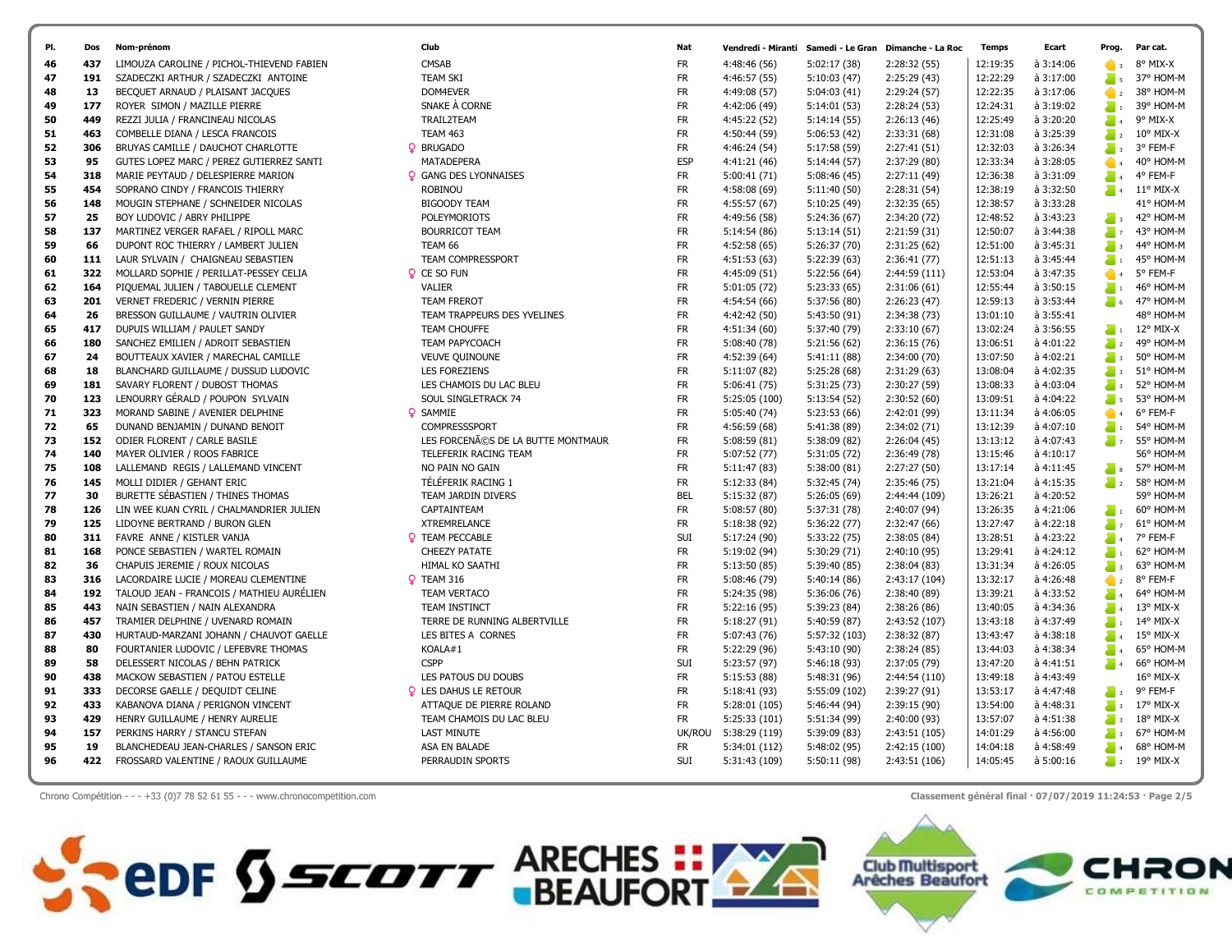

Chrono Compétition - - - +33 (0)7 78 52 61 55 - - - www.chronocompetition.com Classement général final · 07/07/2019 11:24:53 · Page 2/5

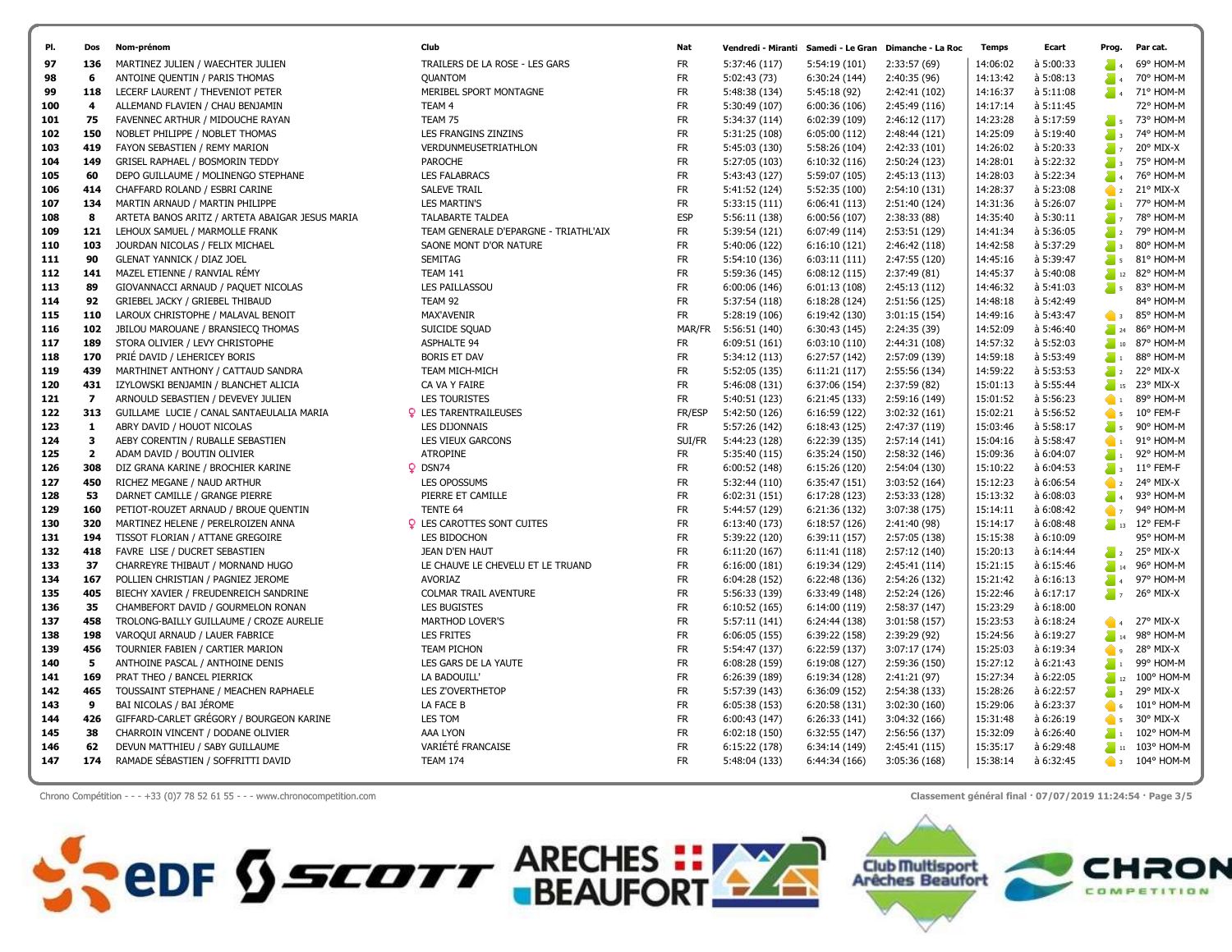| PI.        | Dos                      | Nom-prénom                                                           | Club                                  | Nat                    |                               |                                | Vendredi - Miranti Samedi - Le Gran Dimanche - La Roc | <b>Temps</b>         | Ecart                  | Prog.                    | Par cat.                  |
|------------|--------------------------|----------------------------------------------------------------------|---------------------------------------|------------------------|-------------------------------|--------------------------------|-------------------------------------------------------|----------------------|------------------------|--------------------------|---------------------------|
| 97         | 136                      | MARTINEZ JULIEN / WAECHTER JULIEN                                    | TRAILERS DE LA ROSE - LES GARS        | FR                     | 5:37:46 (117)                 | 5:54:19 (101)                  | 2:33:57 (69)                                          | 14:06:02             | à 5:00:33              |                          | 69° HOM-M                 |
| 98         | 6                        | ANTOINE QUENTIN / PARIS THOMAS                                       | <b>OUANTOM</b>                        | <b>FR</b>              | 5:02:43 (73)                  | 6:30:24 (144)                  | 2:40:35 (96)                                          | 14:13:42             | à 5:08:13              | $\sum_{i=1}^{n}$         | 70° HOM-M                 |
| 99         | 118                      | LECERF LAURENT / THEVENIOT PETER                                     | MERIBEL SPORT MONTAGNE                | <b>FR</b>              | 5:48:38 (134)                 | 5:45:18 (92)                   | 2:42:41 (102)                                         | 14:16:37             | à 5:11:08              |                          | 71° HOM-M                 |
| 100        | 4                        | ALLEMAND FLAVIEN / CHAU BENJAMIN                                     | TEAM 4                                | <b>FR</b>              | 5:30:49 (107)                 | 6:00:36(106)                   | 2:45:49 (116)                                         | 14:17:14             | à 5:11:45              |                          | 72° HOM-M                 |
| 101        | 75                       | FAVENNEC ARTHUR / MIDOUCHE RAYAN                                     | TEAM 75                               | <b>FR</b>              | 5:34:37 (114)                 | 6:02:39 (109)                  | 2:46:12 (117)                                         | 14:23:28             | à 5:17:59              |                          | $\frac{1}{5}$ 73° HOM-M   |
| 102        | 150                      | NOBLET PHILIPPE / NOBLET THOMAS                                      | LES FRANGINS ZINZINS                  | <b>FR</b>              | 5:31:25 (108)                 | 6:05:00(112)                   | 2:48:44 (121)                                         | 14:25:09             | à 5:19:40              | $\sum_{i=1}^{n}$         | 74° HOM-M                 |
| 103        | 419                      | FAYON SEBASTIEN / REMY MARION                                        | VERDUNMEUSETRIATHLON                  | <b>FR</b>              | 5:45:03 (130)                 | 5:58:26 (104)                  | 2:42:33 (101)                                         | 14:26:02             | à 5:20:33              | $\sum_{i=1}^{n}$         | 20° MIX-X                 |
| 104        | 149                      | GRISEL RAPHAEL / BOSMORIN TEDDY                                      | <b>PAROCHE</b>                        | <b>FR</b>              | 5:27:05 (103)                 | 6:10:32(116)                   | 2:50:24 (123)                                         | 14:28:01             | à 5:22:32              | $\sum_{i=1}^{n}$         | 75° HOM-M                 |
| 105        | 60                       | DEPO GUILLAUME / MOLINENGO STEPHANE                                  | <b>LES FALABRACS</b>                  | <b>FR</b>              | 5:43:43 (127)                 | 5:59:07 (105)                  | 2:45:13 (113)                                         | 14:28:03             | à 5:22:34              | $\sum_{i=1}^{n}$         | 76° HOM-M                 |
| 106        | 414                      | CHAFFARD ROLAND / ESBRI CARINE                                       | <b>SALEVE TRAIL</b>                   | <b>FR</b>              | 5:41:52 (124)                 | 5:52:35 (100)                  | 2:54:10 (131)                                         | 14:28:37             | à 5:23:08              |                          | $22$ 21° MIX-X            |
| 107        | 134                      | MARTIN ARNAUD / MARTIN PHILIPPE                                      | <b>LES MARTIN'S</b>                   | FR                     | 5:33:15 (111)                 | 6:06:41(113)                   | 2:51:40 (124)                                         | 14:31:36             | à 5:26:07              | $\sum_{i=1}^{n}$         | 77° HOM-M                 |
| 108        | 8                        | ARTETA BANOS ARITZ / ARTETA ABAIGAR JESUS MARIA                      | <b>TALABARTE TALDEA</b>               | <b>ESP</b>             | 5:56:11 (138)                 | 6:00:56(107)                   | 2:38:33(88)                                           | 14:35:40             | à 5:30:11              | $\sum_{i=1}^{n}$         | 78° HOM-M                 |
| 109        | 121                      | LEHOUX SAMUEL / MARMOLLE FRANK                                       | TEAM GENERALE D'EPARGNE - TRIATHL'AIX | <b>FR</b>              | 5:39:54 (121)                 | 6:07:49 (114)                  | 2:53:51 (129)                                         | 14:41:34             | à 5:36:05              | $\sum_{i=1}^{n}$         | 79° HOM-M                 |
| 110        | 103                      | JOURDAN NICOLAS / FELIX MICHAEL                                      | SAONE MONT D'OR NATURE                | <b>FR</b>              | 5:40:06 (122)                 | 6:16:10(121)                   | 2:46:42 (118)                                         | 14:42:58             | à 5:37:29              | $\sum_{i=1}^{n}$         | 80° HOM-M                 |
| 111        | 90                       | <b>GLENAT YANNICK / DIAZ JOEL</b>                                    | <b>SEMITAG</b>                        | <b>FR</b>              | 5:54:10 (136)                 | 6:03:11(111)                   | 2:47:55 (120)                                         | 14:45:16             | à 5:39:47              |                          | 81° HOM-M                 |
| 112        | 141                      | MAZEL ETIENNE / RANVIAL RÉMY                                         | <b>TEAM 141</b>                       | <b>FR</b>              | 5:59:36 (145)                 | 6:08:12(115)                   | 2:37:49 (81)                                          | 14:45:37             | à 5:40:08              | $\sum_{n=1}^{\infty}$    | 82° HOM-M                 |
| 113        | 89                       | GIOVANNACCI ARNAUD / PAQUET NICOLAS                                  | <b>LES PAILLASSOU</b>                 | <b>FR</b>              | 6:00:06 (146)                 | 6:01:13(108)                   | 2:45:13 (112)                                         | 14:46:32             | à 5:41:03              | $\sum_{i=1}^{n}$         | 83° HOM-M                 |
| 114        | 92                       | GRIEBEL JACKY / GRIEBEL THIBAUD                                      | TEAM 92                               | <b>FR</b>              | 5:37:54 (118)                 | 6:18:28(124)                   | 2:51:56 (125)                                         | 14:48:18             | à 5:42:49              |                          | 84° HOM-M                 |
| 115        | 110                      | LAROUX CHRISTOPHE / MALAVAL BENOIT                                   | <b>MAX'AVENIR</b>                     | <b>FR</b>              | 5:28:19 (106)                 | 6:19:42 (130)                  | 3:01:15(154)                                          | 14:49:16             | à 5:43:47              | $\bullet$ 3              | 85° HOM-M                 |
| 116        | 102                      | JBILOU MAROUANE / BRANSIECO THOMAS                                   | SUICIDE SQUAD                         | MAR/FR                 | 5:56:51 (140)                 | 6:30:43(145)                   | 2:24:35 (39)                                          | 14:52:09             | à 5:46:40              | $\geq$ 24                | 86° HOM-M                 |
| 117        | 189                      | STORA OLIVIER / LEVY CHRISTOPHE                                      | <b>ASPHALTE 94</b>                    | FR                     | 6:09:51 (161)                 | 6:03:10(110)                   | 2:44:31 (108)                                         | 14:57:32             | à 5:52:03              | $\geq$ 10                | 87° HOM-M                 |
| 118        | 170                      | PRIÉ DAVID / LEHERICEY BORIS                                         | <b>BORIS ET DAV</b>                   | <b>FR</b>              | 5:34:12 (113)                 | 6:27:57 (142)                  | 2:57:09 (139)                                         | 14:59:18             | à 5:53:49              | $\sum_{i=1}^{n}$         | 88° HOM-M                 |
| 119        | 439                      | MARTHINET ANTHONY / CATTAUD SANDRA                                   | TEAM MICH-MICH                        | <b>FR</b>              | 5:52:05 (135)                 | 6:11:21(117)                   | 2:55:56 (134)                                         | 14:59:22             | à 5:53:53              | $\sum_{i=1}^{n}$         | 22° MIX-X                 |
| 120        | 431                      | IZYLOWSKI BENJAMIN / BLANCHET ALICIA                                 | CA VA Y FAIRE                         | <b>FR</b>              | 5:46:08 (131)                 | 6:37:06 (154)                  | 2:37:59 (82)                                          | 15:01:13             | à 5:55:44              |                          | $\frac{1}{15}$ 23° MIX-X  |
| 121        | $\overline{\phantom{a}}$ | ARNOULD SEBASTIEN / DEVEVEY JULIEN                                   | <b>LES TOURISTES</b>                  | <b>FR</b>              | 5:40:51 (123)                 | 6:21:45 (133)                  | 2:59:16 (149)                                         | 15:01:52             | à 5:56:23              | $\bullet$                | 89° HOM-M                 |
| 122        | 313                      | GUILLAME LUCIE / CANAL SANTAEULALIA MARIA                            | <b>Q</b> LES TARENTRAILEUSES          | FR/ESP                 | 5:42:50 (126)                 | 6:16:59 (122)                  | 3:02:32 (161)                                         | 15:02:21             | à 5:56:52              | $\bullet$ 5              | 10° FEM-F                 |
| 123        | $\mathbf{1}$             | ABRY DAVID / HOUOT NICOLAS                                           | <b>LES DIJONNAIS</b>                  | <b>FR</b>              | 5:57:26 (142)                 | 6:18:43(125)                   | 2:47:37 (119)                                         | 15:03:46             | à 5:58:17              | $\geq$ 5.                | 90° HOM-M                 |
| 124        | 3                        | AEBY CORENTIN / RUBALLE SEBASTIEN                                    | LES VIEUX GARCONS                     | SUI/FR                 | 5:44:23 (128)                 | 6:22:39 (135)                  | 2:57:14(141)                                          | 15:04:16             | à 5:58:47              | $\bullet$                | 91° HOM-M                 |
| 125        | $\overline{2}$           | ADAM DAVID / BOUTIN OLIVIER                                          | <b>ATROPINE</b>                       | <b>FR</b>              | 5:35:40 (115)                 | 6:35:24 (150)                  | 2:58:32 (146)                                         | 15:09:36             | à 6:04:07              | $\sum_{i=1}^{n}$         | 92° HOM-M                 |
| 126        | 308                      | DIZ GRANA KARINE / BROCHIER KARINE                                   | DSN74                                 | <b>FR</b>              | 6:00:52(148)                  | 6:15:26(120)                   | 2:54:04 (130)                                         | 15:10:22             | à 6:04:53              | $\sum_{i=1}^{n}$         | $11^{\circ}$ FEM-F        |
| 127        | 450                      | RICHEZ MEGANE / NAUD ARTHUR                                          | <b>LES OPOSSUMS</b>                   | <b>FR</b>              | 5:32:44 (110)                 | 6:35:47(151)                   | 3:03:52 (164)                                         | 15:12:23             | à 6:06:54              | $\bullet$ 2              | 24° MIX-X                 |
| 128        | 53                       | DARNET CAMILLE / GRANGE PIERRE                                       | PIERRE ET CAMILLE                     | <b>FR</b>              | 6:02:31(151)                  | 6:17:28 (123)                  | 2:53:33 (128)                                         | 15:13:32             | à 6:08:03              | $\sum_{i=1}^{n}$         | 93° HOM-M                 |
| 129        | 160                      | PETIOT-ROUZET ARNAUD / BROUE QUENTIN                                 | TENTE 64                              | <b>FR</b>              | 5:44:57 (129)                 | 6:21:36 (132)                  | 3:07:38 (175)                                         | 15:14:11             | à 6:08:42              | $\bullet$                | 94° HOM-M                 |
| 130        | 320                      | MARTINEZ HELENE / PERELROIZEN ANNA                                   | <b>Q</b> LES CAROTTES SONT CUITES     | <b>FR</b>              | 6:13:40 (173)                 | 6:18:57(126)                   | 2:41:40 (98)                                          | 15:14:17             | à 6:08:48              |                          | $\frac{1}{13}$ 12° FEM-F  |
| 131        | 194                      | TISSOT FLORIAN / ATTANE GREGOIRE                                     | LES BIDOCHON                          | FR                     | 5:39:22 (120)                 | 6:39:11(157)                   | 2:57:05 (138)                                         | 15:15:38             | à 6:10:09              |                          | 95° HOM-M                 |
| 132        | 418                      | FAVRE LISE / DUCRET SEBASTIEN                                        | JEAN D'EN HAUT                        | <b>FR</b>              | 6:11:20(167)                  | 6:11:41(118)                   | 2:57:12 (140)                                         | 15:20:13             | à 6:14:44              | $\sum_{i=1}^{n}$         | 25° MIX-X                 |
| 133        | 37                       | CHARREYRE THIBAUT / MORNAND HUGO                                     | LE CHAUVE LE CHEVELU ET LE TRUAND     | <b>FR</b>              | 6:16:00(181)                  | 6:19:34 (129)                  | 2:45:41 (114)                                         | 15:21:15             | à 6:15:46              | $\frac{1}{2}$ 14         | 96° HOM-M                 |
| 134        | 167                      | POLLIEN CHRISTIAN / PAGNIEZ JEROME                                   | <b>AVORIAZ</b>                        | <b>FR</b>              | 6:04:28 (152)                 | 6:22:48 (136)                  | 2:54:26 (132)                                         | 15:21:42             | à 6:16:13              | $\sum_{i=1}^{n}$         | 97° HOM-M                 |
| 135        | 405                      | BIECHY XAVIER / FREUDENREICH SANDRINE                                | <b>COLMAR TRAIL AVENTURE</b>          | <b>FR</b>              | 5:56:33 (139)                 | 6:33:49 (148)                  | 2:52:24 (126)                                         | 15:22:46             | à 6:17:17              |                          | $\frac{1}{2}$ 7 26° MIX-X |
| 136        | 35                       | CHAMBEFORT DAVID / GOURMELON RONAN                                   | <b>LES BUGISTES</b>                   | <b>FR</b>              | 6:10:52(165)                  | 6:14:00(119)                   | 2:58:37 (147)                                         | 15:23:29             | à 6:18:00              |                          |                           |
| 137        | 458<br>198               | TROLONG-BAILLY GUILLAUME / CROZE AURELIE                             | MARTHOD LOVER'S<br><b>LES FRITES</b>  | FR<br><b>FR</b>        | 5:57:11 (141)                 | 6:24:44 (138)                  | 3:01:58 (157)                                         | 15:23:53             | à 6:18:24<br>à 6:19:27 | $\bullet$ 4              | 27° MIX-X<br>98° HOM-M    |
| 138        | 456                      | VAROQUI ARNAUD / LAUER FABRICE                                       | <b>TEAM PICHON</b>                    | <b>FR</b>              | 6:06:05(155)                  | 6:39:22 (158)                  | 2:39:29 (92)                                          | 15:24:56             |                        | $\sum_{n=1}^{\infty}$ 14 |                           |
| 139        | 5                        | TOURNIER FABIEN / CARTIER MARION                                     |                                       |                        | 5:54:47 (137)                 | 6:22:59 (137)                  | 3:07:17 (174)                                         | 15:25:03             | à 6:19:34              | $\bullet$                | 28° MIX-X                 |
| 140        |                          | ANTHOINE PASCAL / ANTHOINE DENIS                                     | LES GARS DE LA YAUTE                  | <b>FR</b>              | 6:08:28(159)                  | 6:19:08(127)                   | 2:59:36 (150)                                         | 15:27:12             | à 6:21:43              | $\sum_{i=1}^n x_i$       | 99° HOM-M                 |
| 141        | 169                      | PRAT THEO / BANCEL PIERRICK                                          | LA BADOUILL'                          | <b>FR</b><br><b>FR</b> | 6:26:39 (189)                 | 6:19:34 (128)                  | 2:41:21 (97)                                          | 15:27:34             | à 6:22:05<br>à 6:22:57 | $\frac{1}{2}$ 12         | $100^{\circ}$ HOM-M       |
| 142        | 465<br>9                 | TOUSSAINT STEPHANE / MEACHEN RAPHAELE                                | <b>LES Z'OVERTHETOP</b>               |                        | 5:57:39 (143)                 | 6:36:09 (152)                  | 2:54:38 (133)                                         | 15:28:26             |                        | $\sum_{i=1}^{n}$         | 29° MIX-X                 |
| 143        |                          | BAI NICOLAS / BAI JÉROME                                             | LA FACE B                             | <b>FR</b>              | 6:05:38(153)                  | 6:20:58(131)                   | 3:02:30 (160)                                         | 15:29:06             | à 6:23:37              | $\bullet$ 6              | 101° HOM-M                |
| 144        | 426<br>38                | GIFFARD-CARLET GRÉGORY / BOURGEON KARINE                             | LES TOM                               | <b>FR</b><br><b>FR</b> | 6:00:43 (147)                 | 6:26:33(141)                   | 3:04:32 (166)                                         | 15:31:48             | à 6:26:19<br>à 6:26:40 | $\bullet$ 5              | 30° MIX-X                 |
| 145<br>146 | 62                       | CHARROIN VINCENT / DODANE OLIVIER<br>DEVUN MATTHIEU / SABY GUILLAUME | AAA LYON<br>VARIÉTÉ FRANCAISE         | <b>FR</b>              | 6:02:18(150)<br>6:15:22 (178) | 6:32:55 (147)<br>6:34:14 (149) | 2:56:56 (137)<br>2:45:41 (115)                        | 15:32:09<br>15:35:17 | à 6:29:48              |                          | 102° HOM-M<br>103° HOM-M  |
| 147        | 174                      | RAMADE SÉBASTIEN / SOFFRITTI DAVID                                   | <b>TEAM 174</b>                       | <b>FR</b>              | 5:48:04 (133)                 | 6:44:34 (166)                  | 3:05:36 (168)                                         | 15:38:14             | à 6:32:45              | $\sum$ 11                | $\bullet$ 3 104° HOM-M    |
|            |                          |                                                                      |                                       |                        |                               |                                |                                                       |                      |                        |                          |                           |

Chrono Compétition - - - +33 (0)7 78 52 61 55 - - - www.chronocompetition.com Classement général final · 07/07/2019 11:24:54 · Page 3/5



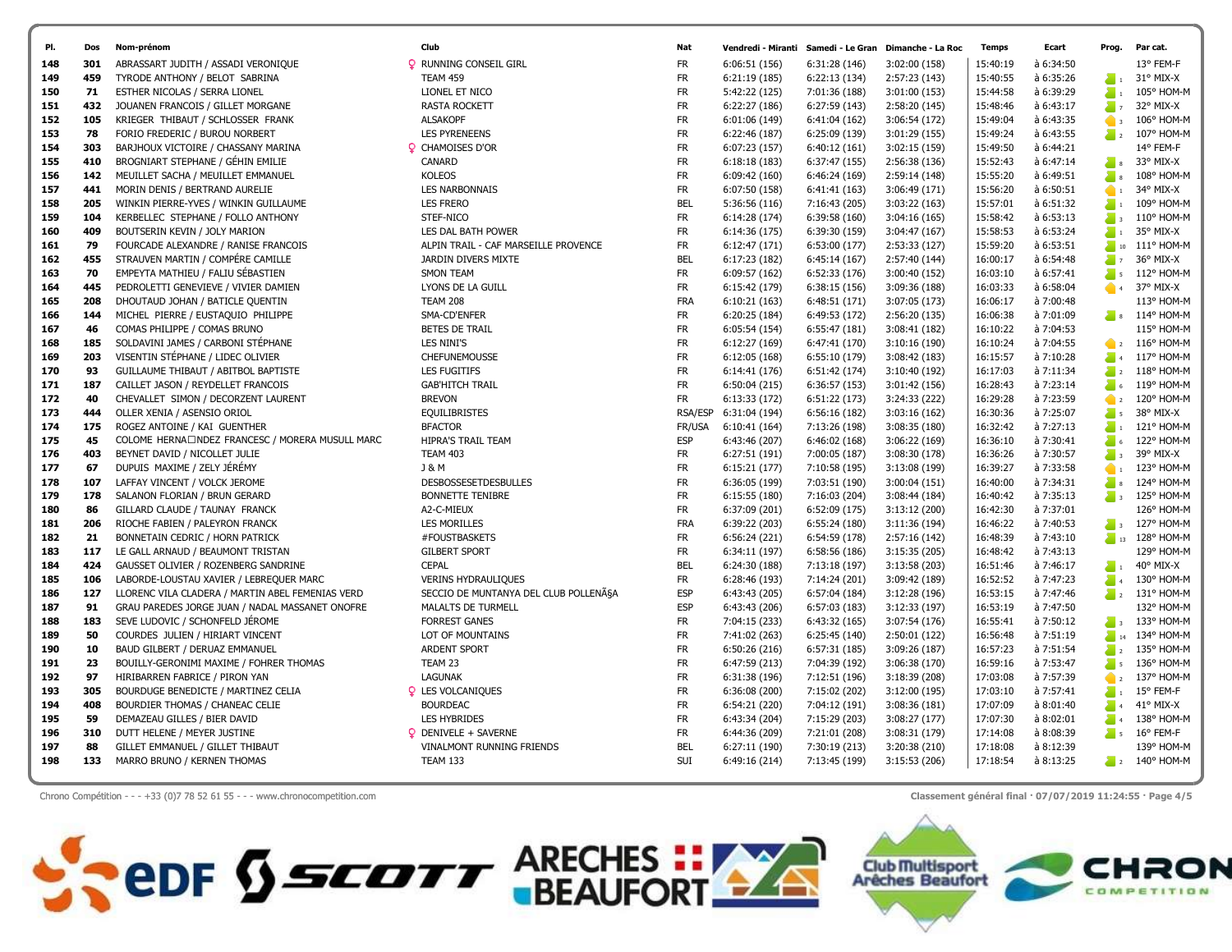| PI.        | Dos       | Nom-prénom                                                                         | Club                                       | Nat                     | Vendredi - Miranti             |                                | Samedi - Le Gran Dimanche - La Roc | <b>Temps</b>         | Ecart                  | Prog.                                        | Par cat.                   |
|------------|-----------|------------------------------------------------------------------------------------|--------------------------------------------|-------------------------|--------------------------------|--------------------------------|------------------------------------|----------------------|------------------------|----------------------------------------------|----------------------------|
| 148        | 301       | ABRASSART JUDITH / ASSADI VERONIQUE                                                | <b>Q</b> RUNNING CONSEIL GIRL              | <b>FR</b>               | 6:06:51 (156)                  | 6:31:28 (146)                  | 3:02:00 (158)                      | 15:40:19             | à 6:34:50              |                                              | 13° FEM-F                  |
| 149        | 459       | TYRODE ANTHONY / BELOT SABRINA                                                     | <b>TEAM 459</b>                            | <b>FR</b>               | 6:21:19 (185)                  | 6:22:13 (134)                  | 2:57:23 (143)                      | 15:40:55             | à 6:35:26              | $\sum_{i=1}^{n}$                             | 31° MIX-X                  |
| 150        | 71        | ESTHER NICOLAS / SERRA LIONEL                                                      | LIONEL ET NICO                             | <b>FR</b>               | 5:42:22 (125)                  | 7:01:36 (188)                  | 3:01:00 (153)                      | 15:44:58             | à 6:39:29              | $\sum_{i=1}^{n}$                             | 105° HOM-M                 |
| 151        | 432       | JOUANEN FRANCOIS / GILLET MORGANE                                                  | <b>RASTA ROCKETT</b>                       | <b>FR</b>               | 6:22:27 (186)                  | 6:27:59 (143)                  | 2:58:20 (145)                      | 15:48:46             | à 6:43:17              | $\sum$ 7                                     | 32° MIX-X                  |
| 152        | 105       | KRIEGER THIBAUT / SCHLOSSER FRANK                                                  | <b>ALSAKOPF</b>                            | <b>FR</b>               | 6:01:06 (149)                  | 6:41:04 (162)                  | 3:06:54 (172)                      | 15:49:04             | à 6:43:35              | $\bullet$                                    | 106° HOM-M                 |
| 153        | 78        | FORIO FREDERIC / BUROU NORBERT                                                     | <b>LES PYRENEENS</b>                       | <b>FR</b>               | 6:22:46 (187)                  | 6:25:09 (139)                  | 3:01:29 (155)                      | 15:49:24             | à 6:43:55              | $\sum_{i=1}^{n}$                             | 107° HOM-M                 |
| 154        | 303       | BARJHOUX VICTOIRE / CHASSANY MARINA                                                | <b>Q</b> CHAMOISES D'OR                    | <b>FR</b>               | 6:07:23 (157)                  | 6:40:12(161)                   | 3:02:15 (159)                      | 15:49:50             | à 6:44:21              |                                              | 14° FEM-F                  |
| 155        | 410       | BROGNIART STEPHANE / GÉHIN EMILIE                                                  | CANARD                                     | <b>FR</b>               | 6:18:18(183)                   | 6:37:47 (155)                  | 2:56:38 (136)                      | 15:52:43             | à 6:47:14              | $\frac{1}{2}$ 8                              | 33° MIX-X                  |
| 156        | 142       | MEUILLET SACHA / MEUILLET EMMANUEL                                                 | <b>KOLEOS</b>                              | <b>FR</b>               | 6:09:42 (160)                  | 6:46:24 (169)                  | 2:59:14 (148)                      | 15:55:20             | à 6:49:51              | $\blacksquare$ 8                             | 108° HOM-M                 |
| 157        | 441       | MORIN DENIS / BERTRAND AURELIE                                                     | <b>LES NARBONNAIS</b>                      | <b>FR</b>               | 6:07:50 (158)                  | 6:41:41 (163)                  | 3:06:49 (171)                      | 15:56:20             | à 6:50:51              | $\bullet$                                    | 34° MIX-X                  |
| 158        | 205       | WINKIN PIERRE-YVES / WINKIN GUILLAUME                                              | <b>LES FRERO</b>                           | <b>BEL</b>              | 5:36:56 (116)                  | 7:16:43 (205)                  | 3:03:22 (163)                      | 15:57:01             | à 6:51:32              | $\sum_{i=1}^{n}$                             | 109° HOM-M                 |
| 159        | 104       | KERBELLEC STEPHANE / FOLLO ANTHONY                                                 | STEF-NICO                                  | <b>FR</b>               | 6:14:28 (174)                  | 6:39:58 (160)                  | 3:04:16(165)                       | 15:58:42             | à 6:53:13              | $\sum_{i=1}^{n}$                             | $110^{\circ}$ HOM-M        |
| 160        | 409       | BOUTSERIN KEVIN / JOLY MARION                                                      | LES DAL BATH POWER                         | <b>FR</b>               | 6:14:36 (175)                  | 6:39:30 (159)                  | 3:04:47 (167)                      | 15:58:53             | à 6:53:24              | $\sum_{i=1}^{n}$                             | 35° MIX-X                  |
| 161        | 79        | FOURCADE ALEXANDRE / RANISE FRANCOIS                                               | ALPIN TRAIL - CAF MARSEILLE PROVENCE       | <b>FR</b>               | 6:12:47(171)                   | 6:53:00 (177)                  | 2:53:33 (127)                      | 15:59:20             | à 6:53:51              | $\frac{1}{2}$ 10                             | 111° HOM-M                 |
| 162        | 455       | STRAUVEN MARTIN / COMPÉRE CAMILLE                                                  | JARDIN DIVERS MIXTE                        | <b>BEL</b>              | 6:17:23 (182)                  | 6:45:14 (167)                  | 2:57:40 (144)                      | 16:00:17             | à 6:54:48              | $\sum_{i=1}^{n}$                             | 36° MIX-X                  |
| 163        | 70        | EMPEYTA MATHIEU / FALIU SÉBASTIEN                                                  | <b>SMON TEAM</b>                           | <b>FR</b>               | 6:09:57 (162)                  | 6:52:33 (176)                  | 3:00:40 (152)                      | 16:03:10             | à 6:57:41              | $\sum_{i=1}^{n}$                             | 112° HOM-M                 |
| 164        | 445       | PEDROLETTI GENEVIEVE / VIVIER DAMIEN                                               | LYONS DE LA GUILL                          | <b>FR</b>               | 6:15:42 (179)                  | 6:38:15(156)                   | 3:09:36 (188)                      | 16:03:33             | à 6:58:04              | $\bullet$ 4                                  | 37° MIX-X                  |
| 165        | 208       | DHOUTAUD JOHAN / BATICLE QUENTIN                                                   | <b>TEAM 208</b>                            | FRA                     | 6:10:21 (163)                  | 6:48:51 (171)                  | 3:07:05 (173)                      | 16:06:17             | à 7:00:48              |                                              | 113° HOM-M                 |
| 166        | 144       | MICHEL PIERRE / EUSTAQUIO PHILIPPE                                                 | SMA-CD'ENFER                               | FR                      | 6:20:25 (184)                  | 6:49:53 (172)                  | 2:56:20 (135)                      | 16:06:38             | à 7:01:09              |                                              | $\frac{1}{8}$ s 114° HOM-M |
| 167        | 46        | COMAS PHILIPPE / COMAS BRUNO                                                       | BETES DE TRAIL                             | <b>FR</b>               | 6:05:54(154)                   | 6:55:47 (181)                  | 3:08:41 (182)                      | 16:10:22             | à 7:04:53              |                                              | 115° HOM-M                 |
| 168        | 185       | SOLDAVINI JAMES / CARBONI STÉPHANE                                                 | LES NINI'S                                 | <b>FR</b>               | 6:12:27 (169)                  | 6:47:41 (170)                  | 3:10:16 (190)                      | 16:10:24             | à 7:04:55              | $\bullet$ 2                                  | $116^{\circ}$ HOM-M        |
| 169        | 203       | VISENTIN STÉPHANE / LIDEC OLIVIER                                                  | <b>CHEFUNEMOUSSE</b>                       | <b>FR</b>               | 6:12:05(168)                   | 6:55:10 (179)                  | 3:08:42 (183)                      | 16:15:57             | à 7:10:28              | $\sum_{i=1}^{n}$                             | 117° HOM-M                 |
| 170        | 93        | GUILLAUME THIBAUT / ABITBOL BAPTISTE                                               | <b>LES FUGITIFS</b>                        | <b>FR</b>               | 6:14:41 (176)                  | 6:51:42 (174)                  | 3:10:40 (192)                      | 16:17:03             | à 7:11:34              | $\sum_{i=1}^{n}$                             | 118° HOM-M                 |
| 171        | 187       | CAILLET JASON / REYDELLET FRANCOIS                                                 | <b>GAB'HITCH TRAIL</b>                     | <b>FR</b>               | 6:50:04 (215)                  | 6:36:57 (153)                  | 3:01:42 (156)                      | 16:28:43             | à 7:23:14              | $\sum_{i=1}^{n}$                             | 119° HOM-M                 |
| 172        | 40        | CHEVALLET SIMON / DECORZENT LAURENT                                                | <b>BREVON</b>                              | <b>FR</b>               | 6:13:33 (172)                  | 6:51:22 (173)                  | 3:24:33 (222)                      | 16:29:28             | à 7:23:59              | $\bullet$ 2                                  | 120° HOM-M                 |
| 173        | 444       | OLLER XENIA / ASENSIO ORIOL                                                        | <b>EQUILIBRISTES</b>                       | RSA/ESP                 | 6:31:04 (194)                  | 6:56:16(182)                   | 3:03:16(162)                       | 16:30:36             | à 7:25:07              | $\sum_{i=1}^{n}$                             | 38° MIX-X                  |
| 174        | 175       | ROGEZ ANTOINE / KAI GUENTHER                                                       | <b>BFACTOR</b>                             | FR/USA                  | 6:10:41(164)                   | 7:13:26 (198)                  | 3:08:35 (180)                      | 16:32:42             | à 7:27:13              | $\sum_{i=1}^{n}$                             | 121° HOM-M                 |
| 175        | 45        | COLOME HERNA□NDEZ FRANCESC / MORERA MUSULL MARC                                    | <b>HIPRA'S TRAIL TEAM</b>                  | <b>ESP</b>              | 6:43:46 (207)                  | 6:46:02(168)                   | 3:06:22 (169)                      | 16:36:10             | à 7:30:41              | $\sum_{i=1}^{n}$                             | 122° HOM-M                 |
| 176        | 403       | BEYNET DAVID / NICOLLET JULIE                                                      | <b>TEAM 403</b>                            | <b>FR</b>               | 6:27:51 (191)                  | 7:00:05 (187)                  | 3:08:30 (178)                      | 16:36:26             | à 7:30:57              | $\sum_{i=1}^{n}$                             | 39° MIX-X                  |
| 177        | 67        | DUPUIS MAXIME / ZELY JÉRÉMY                                                        | <b>J &amp; M</b>                           | <b>FR</b>               | 6:15:21(177)                   | 7:10:58 (195)                  | 3:13:08 (199)                      | 16:39:27             | à 7:33:58              | $\bullet$                                    | 123° HOM-M                 |
| 178        | 107       | LAFFAY VINCENT / VOLCK JEROME                                                      | <b>DESBOSSESETDESBULLES</b>                | <b>FR</b>               | 6:36:05 (199)                  | 7:03:51 (190)                  | 3:00:04 (151)                      | 16:40:00             | à 7:34:31              | $\sum_{i=1}^{n}$                             | 124° HOM-M                 |
| 179        | 178       | SALANON FLORIAN / BRUN GERARD                                                      | <b>BONNETTE TENIBRE</b>                    | <b>FR</b>               | 6:15:55(180)                   | 7:16:03 (204)                  | 3:08:44 (184)                      | 16:40:42             | à 7:35:13              | $\sum_{i=1}^{n}$                             | 125° HOM-M                 |
| 180        | 86        | GILLARD CLAUDE / TAUNAY FRANCK                                                     | A2-C-MIEUX                                 | <b>FR</b>               | 6:37:09 (201)                  | 6:52:09 (175)                  | 3:13:12 (200)                      | 16:42:30             | à 7:37:01              |                                              | 126° HOM-M                 |
| 181        | 206       | RIOCHE FABIEN / PALEYRON FRANCK                                                    | <b>LES MORILLES</b>                        | <b>FRA</b>              | 6:39:22 (203)                  | 6:55:24 (180)                  | 3:11:36 (194)                      | 16:46:22             | à 7:40:53              |                                              | $\frac{1}{3}$ 127° HOM-M   |
| 182        | 21        | BONNETAIN CEDRIC / HORN PATRICK                                                    | #FOUSTBASKETS                              | <b>FR</b>               | 6:56:24 (221)                  | 6:54:59 (178)                  | 2:57:16 (142)                      | 16:48:39             | à 7:43:10              | $\sum_{i=1}^{n}$ 13                          | 128° HOM-M                 |
| 183        | 117       | LE GALL ARNAUD / BEAUMONT TRISTAN                                                  | <b>GILBERT SPORT</b>                       | FR                      | 6:34:11 (197)                  | 6:58:56(186)                   | 3:15:35 (205)                      | 16:48:42             | à 7:43:13              |                                              | 129° HOM-M                 |
| 184        | 424       | GAUSSET OLIVIER / ROZENBERG SANDRINE                                               | <b>CEPAL</b>                               | <b>BEL</b>              | 6:24:30 (188)                  | 7:13:18 (197)                  | 3:13:58 (203)                      | 16:51:46             | à 7:46:17              | $\sum_{i=1}^{n}$                             | $40^{\circ}$ MIX-X         |
| 185        | 106       | LABORDE-LOUSTAU XAVIER / LEBREQUER MARC                                            | <b>VERINS HYDRAULIQUES</b>                 | <b>FR</b>               | 6:28:46 (193)                  | 7:14:24 (201)                  | 3:09:42 (189)                      | 16:52:52             | à 7:47:23              | $\sum_{i=1}^{n}$                             | 130° HOM-M                 |
| 186        | 127       | LLORENC VILA CLADERA / MARTIN ABEL FEMENIAS VERD                                   | SECCIO DE MUNTANYA DEL CLUB POLLENÃSA      | <b>ESP</b>              | 6:43:43 (205)                  | 6:57:04 (184)                  | 3:12:28 (196)                      | 16:53:15             | à 7:47:46              | $\sum_{i=1}^{n}$                             | 131° HOM-M                 |
| 187<br>188 | 91<br>183 | GRAU PAREDES JORGE JUAN / NADAL MASSANET ONOFRE<br>SEVE LUDOVIC / SCHONFELD JÉROME | MALALTS DE TURMELL<br><b>FORREST GANES</b> | <b>ESP</b><br><b>FR</b> | 6:43:43 (206)<br>7:04:15 (233) | 6:57:03 (183)                  | 3:12:33 (197)                      | 16:53:19<br>16:55:41 | à 7:47:50<br>à 7:50:12 |                                              | 132° HOM-M                 |
|            | 50        | COURDES JULIEN / HIRIART VINCENT                                                   | LOT OF MOUNTAINS                           | <b>FR</b>               | 7:41:02 (263)                  | 6:43:32 (165)<br>6:25:45(140)  | 3:07:54 (176)<br>2:50:01 (122)     | 16:56:48             | à 7:51:19              | $\sum_{i=1}^{n}$<br>$\sum_{n=1}^{\infty}$ 14 | 133° HOM-M<br>134° HOM-M   |
| 189<br>190 | 10        | BAUD GILBERT / DERUAZ EMMANUEL                                                     | <b>ARDENT SPORT</b>                        | <b>FR</b>               | 6:50:26 (216)                  | 6:57:31 (185)                  | 3:09:26 (187)                      | 16:57:23             | à 7:51:54              | $\sum_{i=1}^{n}$                             | 135° HOM-M                 |
| 191        | 23        | BOUILLY-GERONIMI MAXIME / FOHRER THOMAS                                            | TEAM 23                                    | <b>FR</b>               |                                |                                |                                    | 16:59:16             | à 7:53:47              | $\sum_{i=1}^{n} s_i$                         | 136° HOM-M                 |
| 192        | 97        | HIRIBARREN FABRICE / PIRON YAN                                                     | <b>LAGUNAK</b>                             | <b>FR</b>               | 6:47:59 (213)<br>6:31:38 (196) | 7:04:39 (192)<br>7:12:51 (196) | 3:06:38 (170)<br>3:18:39 (208)     | 17:03:08             | à 7:57:39              |                                              | 137° HOM-M                 |
| 193        | 305       | BOURDUGE BENEDICTE / MARTINEZ CELIA                                                | <b>Q</b> LES VOLCANIQUES                   | <b>FR</b>               | 6:36:08 (200)                  | 7:15:02 (202)                  |                                    | 17:03:10             | à 7:57:41              | $\bullet$ 2<br>$\sum_{i=1}^{n}$              | 15° FEM-F                  |
| 194        | 408       | BOURDIER THOMAS / CHANEAC CELIE                                                    | <b>BOURDEAC</b>                            | <b>FR</b>               | 6:54:21 (220)                  | 7:04:12 (191)                  | 3:12:00 (195)<br>3:08:36 (181)     | 17:07:09             | à 8:01:40              | $\sum_{i=1}^{n}$                             | 41° MIX-X                  |
| 195        | 59        | DEMAZEAU GILLES / BIER DAVID                                                       | <b>LES HYBRIDES</b>                        | <b>FR</b>               | 6:43:34 (204)                  | 7:15:29 (203)                  | 3:08:27 (177)                      | 17:07:30             | à 8:02:01              | $\sum_{i=1}^{n}$                             | 138° HOM-M                 |
| 196        | 310       | DUTT HELENE / MEYER JUSTINE                                                        | $\circ$ DENIVELE + SAVERNE                 | <b>FR</b>               | 6:44:36 (209)                  | 7:21:01 (208)                  | 3:08:31 (179)                      | 17:14:08             | à 8:08:39              | $\overline{\phantom{a}}$ s                   | $16^{\circ}$ FEM-F         |
| 197        | 88        | GILLET EMMANUEL / GILLET THIBAUT                                                   | VINALMONT RUNNING FRIENDS                  | <b>BEL</b>              | 6:27:11 (190)                  | 7:30:19 (213)                  | 3:20:38 (210)                      | 17:18:08             | à 8:12:39              |                                              | 139° HOM-M                 |
| 198        | 133       | MARRO BRUNO / KERNEN THOMAS                                                        | <b>TEAM 133</b>                            | SUI                     | 6:49:16 (214)                  | 7:13:45 (199)                  | 3:15:53 (206)                      | 17:18:54             | à 8:13:25              |                                              | $\sum_{2}$ 140° HOM-M      |
|            |           |                                                                                    |                                            |                         |                                |                                |                                    |                      |                        |                                              |                            |

Chrono Compétition - - - +33 (0)7 78 52 61 55 - - - www.chronocompetition.com Classement général final · 07/07/2019 11:24:55 · Page 4/5